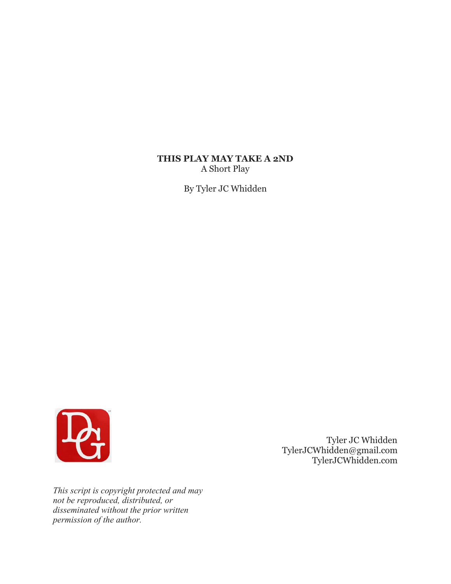# **THIS PLAY MAY TAKE A 2ND** A Short Play

By Tyler JC Whidden



 Tyler JC Whidden TylerJCWhidden@gmail.com TylerJCWhidden.com

*This script is copyright protected and may not be reproduced, distributed, or disseminated without the prior written permission of the author.*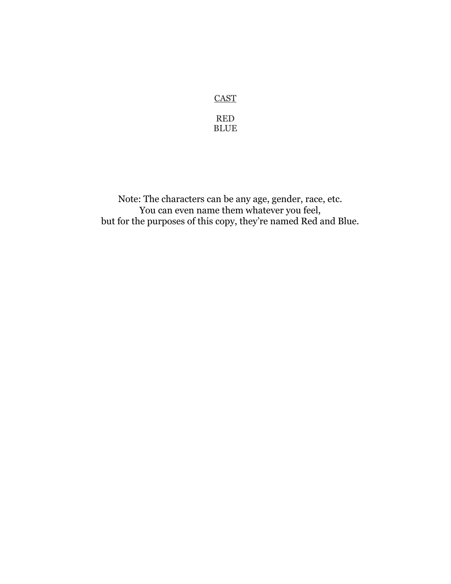# **CAST**

RED BLUE

Note: The characters can be any age, gender, race, etc. You can even name them whatever you feel, but for the purposes of this copy, they're named Red and Blue.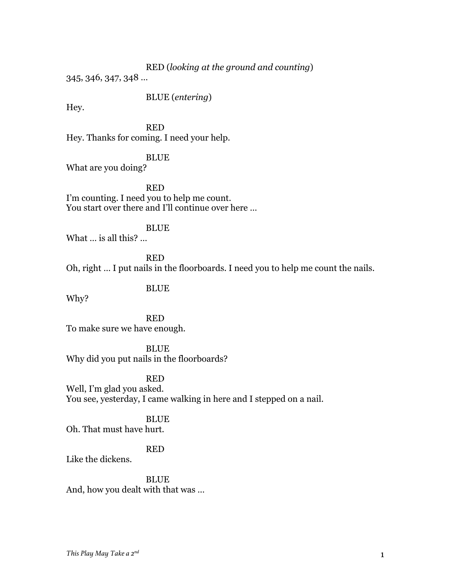### RED (*looking at the ground and counting*)

345, 346, 347, 348 …

BLUE (*entering*)

Hey.

RED Hey. Thanks for coming. I need your help.

BLUE What are you doing?

RED I'm counting. I need you to help me count. You start over there and I'll continue over here …

BLUE

What … is all this? …

RED Oh, right … I put nails in the floorboards. I need you to help me count the nails.

# BLUE

Why?

RED To make sure we have enough.

BLUE Why did you put nails in the floorboards?

RED

Well, I'm glad you asked. You see, yesterday, I came walking in here and I stepped on a nail.

**BLUE** 

Oh. That must have hurt.

# RED

Like the dickens.

BLUE And, how you dealt with that was …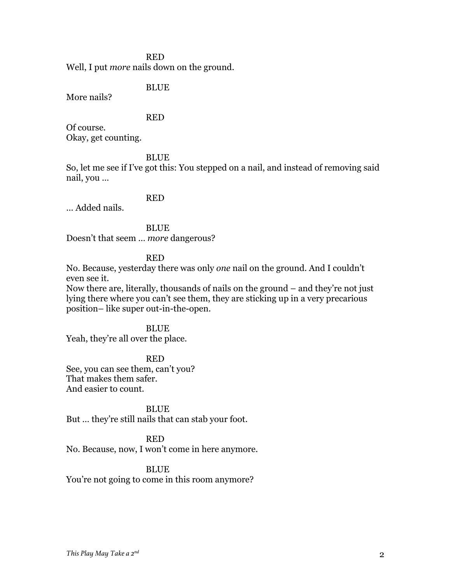# RED Well, I put *more* nails down on the ground.

BLUE

More nails?

# RED

Of course. Okay, get counting.

### BLUE

So, let me see if I've got this: You stepped on a nail, and instead of removing said nail, you …

# RED

… Added nails.

BLUE

Doesn't that seem … *more* dangerous?

# RED

No. Because, yesterday there was only *one* nail on the ground. And I couldn't even see it.

Now there are, literally, thousands of nails on the ground – and they're not just lying there where you can't see them, they are sticking up in a very precarious position– like super out-in-the-open.

### BLUE

Yeah, they're all over the place.

#### RED

See, you can see them, can't you? That makes them safer. And easier to count.

#### BLUE

But … they're still nails that can stab your foot.

# RED

No. Because, now, I won't come in here anymore.

# BLUE

You're not going to come in this room anymore?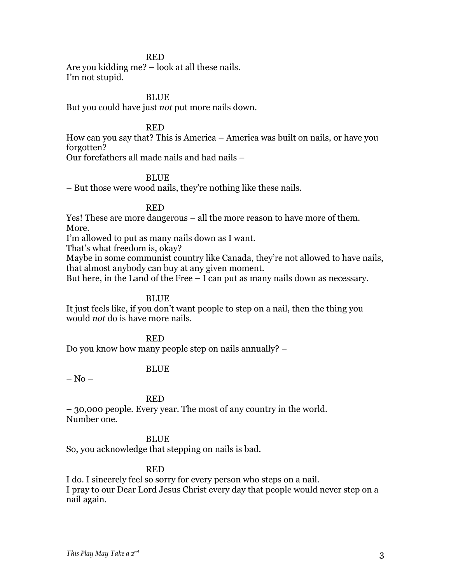### RED

Are you kidding me? – look at all these nails. I'm not stupid.

# BLUE

But you could have just *not* put more nails down.

### RED

How can you say that? This is America – America was built on nails, or have you forgotten?

Our forefathers all made nails and had nails –

#### BLUE

– But those were wood nails, they're nothing like these nails.

# RED

Yes! These are more dangerous – all the more reason to have more of them. More.

I'm allowed to put as many nails down as I want.

That's what freedom is, okay?

Maybe in some communist country like Canada, they're not allowed to have nails, that almost anybody can buy at any given moment.

But here, in the Land of the Free – I can put as many nails down as necessary.

### **BLUE**

It just feels like, if you don't want people to step on a nail, then the thing you would *not* do is have more nails.

RED

Do you know how many people step on nails annually? –

# BLUE

 $-$  No  $-$ 

### RED

– 30,000 people. Every year. The most of any country in the world. Number one.

### BLUE

So, you acknowledge that stepping on nails is bad.

#### RED

I do. I sincerely feel so sorry for every person who steps on a nail. I pray to our Dear Lord Jesus Christ every day that people would never step on a nail again.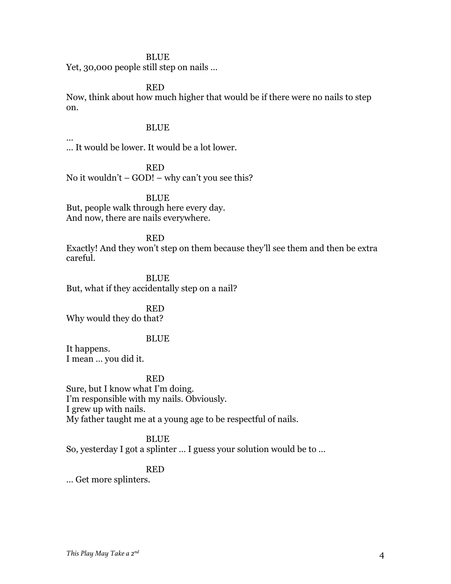# BLUE

Yet, 30,000 people still step on nails …

RED

Now, think about how much higher that would be if there were no nails to step on.

### BLUE

… It would be lower. It would be a lot lower.

RED No it wouldn't  $-$  GOD!  $-$  why can't you see this?

BLUE But, people walk through here every day. And now, there are nails everywhere.

#### RED

Exactly! And they won't step on them because they'll see them and then be extra careful.

BLUE But, what if they accidentally step on a nail?

RED

Why would they do that?

#### BLUE

It happens. I mean … you did it.

…

# RED

Sure, but I know what I'm doing. I'm responsible with my nails. Obviously. I grew up with nails. My father taught me at a young age to be respectful of nails.

# BLUE

So, yesterday I got a splinter … I guess your solution would be to …

# RED

… Get more splinters.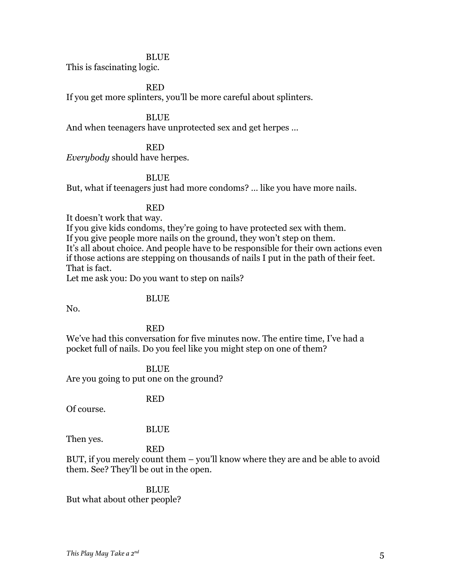#### BLUE

This is fascinating logic.

#### RED

If you get more splinters, you'll be more careful about splinters.

#### BLUE

And when teenagers have unprotected sex and get herpes …

### RED

*Everybody* should have herpes.

### **BLUE**

But, what if teenagers just had more condoms? … like you have more nails.

#### RED

It doesn't work that way.

If you give kids condoms, they're going to have protected sex with them.

If you give people more nails on the ground, they won't step on them.

It's all about choice. And people have to be responsible for their own actions even if those actions are stepping on thousands of nails I put in the path of their feet. That is fact.

Let me ask you: Do you want to step on nails?

#### BLUE

No.

#### RED

We've had this conversation for five minutes now. The entire time, I've had a pocket full of nails. Do you feel like you might step on one of them?

#### BLUE

Are you going to put one on the ground?

#### RED

Of course.

#### BLUE

Then yes.

#### RED

BUT, if you merely count them – you'll know where they are and be able to avoid them. See? They'll be out in the open.

BLUE But what about other people?